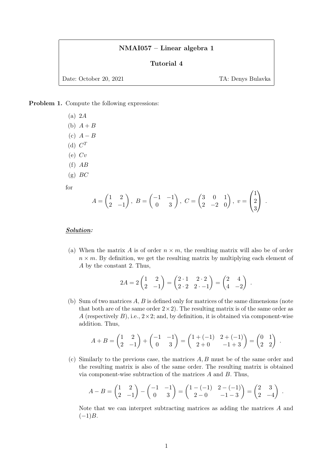## NMAI057 – Linear algebra 1

### Tutorial 4

Date: October 20, 2021 TA: Denys Bulavka

 $\lambda$ 

.

.

Problem 1. Compute the following expressions:

(a) 2A (b)  $A + B$ (c)  $A - B$ (d)  $C^T$  $(e)$   $Cv$  $(f)$   $AB$  $(g)$  BC for

$$
A = \begin{pmatrix} 1 & 2 \\ 2 & -1 \end{pmatrix}, B = \begin{pmatrix} -1 & -1 \\ 0 & 3 \end{pmatrix}, C = \begin{pmatrix} 3 & 0 & 1 \\ 2 & -2 & 0 \end{pmatrix}, v = \begin{pmatrix} 1 \\ 2 \\ 3 \end{pmatrix}.
$$

#### Solution:

(a) When the matrix A is of order  $n \times m$ , the resulting matrix will also be of order  $n \times m$ . By definition, we get the resulting matrix by multiplying each element of A by the constant 2. Thus,

$$
2A = 2\begin{pmatrix} 1 & 2 \\ 2 & -1 \end{pmatrix} = \begin{pmatrix} 2 \cdot 1 & 2 \cdot 2 \\ 2 \cdot 2 & 2 \cdot -1 \end{pmatrix} = \begin{pmatrix} 2 & 4 \\ 4 & -2 \end{pmatrix}.
$$

(b) Sum of two matrices A, B is defined only for matrices of the same dimensions (note that both are of the same order  $2 \times 2$ ). The resulting matrix is of the same order as A (respectively  $B$ ), i.e.,  $2 \times 2$ ; and, by definition, it is obtained via component-wise addition. Thus,

$$
A + B = \begin{pmatrix} 1 & 2 \\ 2 & -1 \end{pmatrix} + \begin{pmatrix} -1 & -1 \\ 0 & 3 \end{pmatrix} = \begin{pmatrix} 1 + (-1) & 2 + (-1) \\ 2 + 0 & -1 + 3 \end{pmatrix} = \begin{pmatrix} 0 & 1 \\ 2 & 2 \end{pmatrix}
$$

(c) Similarly to the previous case, the matrices A, B must be of the same order and the resulting matrix is also of the same order. The resulting matrix is obtained via component-wise subtraction of the matrices  $A$  and  $B$ . Thus,

$$
A - B = \begin{pmatrix} 1 & 2 \\ 2 & -1 \end{pmatrix} - \begin{pmatrix} -1 & -1 \\ 0 & 3 \end{pmatrix} = \begin{pmatrix} 1 - (-1) & 2 - (-1) \\ 2 - 0 & -1 - 3 \end{pmatrix} = \begin{pmatrix} 2 & 3 \\ 2 & -4 \end{pmatrix}
$$

Note that we can interpret subtracting matrices as adding the matrices A and  $(-1)B$ .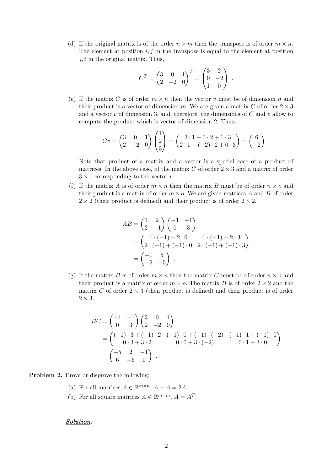(d) If the original matrix is of the order  $n \times m$  then the transpose is of order  $m \times n$ . The element at position  $i, j$  in the transpose is equal to the element at position  $j, i$  in the original matrix. Thus,

$$
C^{T} = \begin{pmatrix} 3 & 0 & 1 \\ 2 & -2 & 0 \end{pmatrix}^{T} = \begin{pmatrix} 3 & 2 \\ 0 & -2 \\ 1 & 0 \end{pmatrix}.
$$

(e) If the matrix C is of order  $m \times n$  then the vector v must be of dimension n and their product is a vector of dimension m. We are given a matrix C of order  $2 \times 3$ and a vector v of dimension 3, and, therefore, the dimensions of  $C$  and v allow to compute the product which is vector of dimension 2. Thus,

$$
Cv = \begin{pmatrix} 3 & 0 & 1 \\ 2 & -2 & 0 \end{pmatrix} \begin{pmatrix} 1 \\ 2 \\ 3 \end{pmatrix} = \begin{pmatrix} 3 \cdot 1 + 0 \cdot 2 + 1 \cdot 3 \\ 2 \cdot 1 + (-2) \cdot 2 + 0 \cdot 3 \end{pmatrix} = \begin{pmatrix} 6 \\ -2 \end{pmatrix}.
$$

Note that product of a matrix and a vector is a special case of a product of matrices. In the above case, of the matrix  $C$  of order  $2 \times 3$  and a matrix of order  $3 \times 1$  corresponding to the vector v.

(f) If the matrix A is of order  $m \times n$  then the matrix B must be of order  $n \times o$  and their product is a matrix of order  $m \times o$ . We are given matrices A and B of order  $2 \times 2$  (their product is defined) and their product is of order  $2 \times 2$ .

$$
AB = \begin{pmatrix} 1 & 2 \\ 2 & -1 \end{pmatrix} \begin{pmatrix} -1 & -1 \\ 0 & 3 \end{pmatrix}
$$
  
=  $\begin{pmatrix} 1 \cdot (-1) + 2 \cdot 0 & 1 \cdot (-1) + 2 \cdot 3 \\ 2 \cdot (-1) + (-1) \cdot 0 & 2 \cdot (-1) + (-1) \cdot 3 \end{pmatrix}$   
=  $\begin{pmatrix} -1 & 5 \\ -2 & -5 \end{pmatrix}$ .

(g) If the matrix B is of order  $m \times n$  then the matrix C must be of order  $n \times o$  and their product is a matrix of order  $m \times o$ . The matrix B is of order  $2 \times 2$  and the matrix C of order  $2 \times 3$  (their product is defined) and their product is of order  $2 \times 3$ .

$$
BC = \begin{pmatrix} -1 & -1 \\ 0 & 3 \end{pmatrix} \begin{pmatrix} 3 & 0 & 1 \\ 2 & -2 & 0 \end{pmatrix}
$$
  
= 
$$
\begin{pmatrix} (-1) \cdot 3 + (-1) \cdot 2 & (-1) \cdot 0 + (-1) \cdot (-2) & (-1) \cdot 1 + (-1) \cdot 0 \\ 0 \cdot 3 + 3 \cdot 2 & 0 \cdot 0 + 3 \cdot (-2) & 0 \cdot 1 + 3 \cdot 0 \end{pmatrix}
$$
  
= 
$$
\begin{pmatrix} -5 & 2 & -1 \\ 6 & -6 & 0 \end{pmatrix}.
$$

Problem 2. Prove or disprove the following:

- (a) For all matrices  $A \in \mathbb{R}^{m \times n}$ ,  $A + A = 2A$ .
- (b) For all square matrices  $A \in \mathbb{R}^{m \times m}$ ,  $A = A^T$ .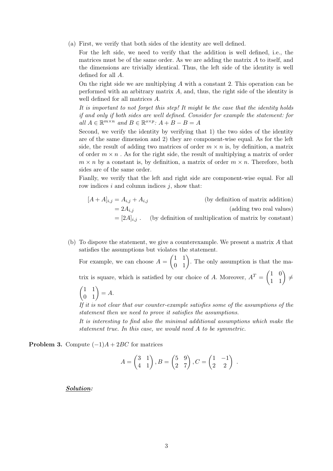(a) First, we verify that both sides of the identity are well defined.

For the left side, we need to verify that the addition is well defined, i.e., the matrices must be of the same order. As we are adding the matrix  $A$  to itself, and the dimensions are trivially identical. Thus, the left side of the identity is well defined for all A.

On the right side we are multiplying  $A$  with a constant 2. This operation can be performed with an arbitrary matrix A, and, thus, the right side of the identity is well defined for all matrices A.

It is important to not forget this step! It might be the case that the identity holds if and only if both sides are well defined. Consider for example the statement: for all  $A \in \mathbb{R}^{m \times n}$  and  $B \in \mathbb{R}^{o \times p}$ :  $A + B - B = A$ 

Second, we verify the identity by verifying that 1) the two sides of the identity are of the same dimension and 2) they are component-wise equal. As for the left side, the result of adding two matrices of order  $m \times n$  is, by definition, a matrix of order  $m \times n$ . As for the right side, the result of multiplying a matrix of order  $m \times n$  by a constant is, by definition, a matrix of order  $m \times n$ . Therefore, both sides are of the same order.

Fianlly, we verify that the left and right side are component-wise equal. For all row indices  $i$  and column indices  $j$ , show that:

- $[A + A]_{i,j} = A_{i,j} + A_{i,j}$  (by definition of matrix addition)  $= 2A_{i,j}$  (adding two real values)  $=[2A]_{i,j}$ . (by definition of multiplication of matrix by constant)
- (b) To dispove the statement, we give a counterexample. We present a matrix A that satisfies the assumptions but violates the statement.

For example, we can choose  $A = \begin{pmatrix} 1 & 1 \\ 0 & 1 \end{pmatrix}$ . The only assumption is that the matrix is square, which is satisfied by our choice of A. Moreover,  $A<sup>T</sup> = \begin{pmatrix} 1 & 0 \\ 1 & 1 \end{pmatrix} \neq$ 

$$
\begin{pmatrix} 1 & 1 \\ 0 & 1 \end{pmatrix} = A.
$$

If it is not clear that our counter-example satisfies some of the assumptions of the statement then we need to prove it satisfies the assumptions.

It is interesting to find also the minimal additional assumptions which make the statement true. In this case, we would need A to be symmetric.

**Problem 3.** Compute  $(-1)A + 2BC$  for matrices

$$
A = \begin{pmatrix} 3 & 1 \\ 4 & 1 \end{pmatrix}, B = \begin{pmatrix} 5 & 9 \\ 2 & 7 \end{pmatrix}, C = \begin{pmatrix} 1 & -1 \\ 2 & 2 \end{pmatrix}.
$$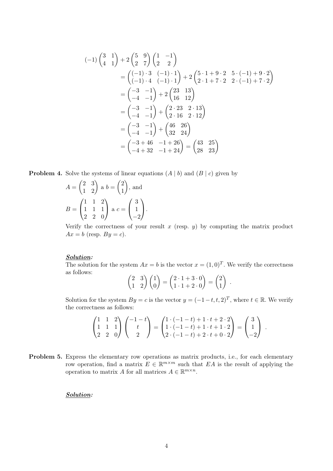$$
(-1)\begin{pmatrix} 3 & 1 \\ 4 & 1 \end{pmatrix} + 2\begin{pmatrix} 5 & 9 \\ 2 & 7 \end{pmatrix} \begin{pmatrix} 1 & -1 \\ 2 & 2 \end{pmatrix}
$$
  
=  $\begin{pmatrix} (-1) \cdot 3 & (-1) \cdot 1 \\ (-1) \cdot 4 & (-1) \cdot 1 \end{pmatrix} + 2\begin{pmatrix} 5 \cdot 1 + 9 \cdot 2 & 5 \cdot (-1) + 9 \cdot 2 \\ 2 \cdot 1 + 7 \cdot 2 & 2 \cdot (-1) + 7 \cdot 2 \end{pmatrix}$   
=  $\begin{pmatrix} -3 & -1 \\ -4 & -1 \end{pmatrix} + 2\begin{pmatrix} 23 & 13 \\ 16 & 12 \end{pmatrix}$   
=  $\begin{pmatrix} -3 & -1 \\ -4 & -1 \end{pmatrix} + \begin{pmatrix} 2 \cdot 23 & 2 \cdot 13 \\ 2 \cdot 16 & 2 \cdot 12 \end{pmatrix}$   
=  $\begin{pmatrix} -3 & -1 \\ -4 & -1 \end{pmatrix} + \begin{pmatrix} 46 & 26 \\ 32 & 24 \end{pmatrix}$   
=  $\begin{pmatrix} -3 + 46 & -1 + 26 \\ -4 + 32 & -1 + 24 \end{pmatrix} = \begin{pmatrix} 43 & 25 \\ 28 & 23 \end{pmatrix}$ 

**Problem 4.** Solve the systems of linear equations  $(A | b)$  and  $(B | c)$  given by

$$
A = \begin{pmatrix} 2 & 3 \\ 1 & 2 \end{pmatrix} \text{ a } b = \begin{pmatrix} 2 \\ 1 \end{pmatrix}, \text{ and}
$$

$$
B = \begin{pmatrix} 1 & 1 & 2 \\ 1 & 1 & 1 \\ 2 & 2 & 0 \end{pmatrix} \text{ a } c = \begin{pmatrix} 3 \\ 1 \\ -2 \end{pmatrix}.
$$

Verify the correctness of your result  $x$  (resp.  $y$ ) by computing the matrix product  $Ax = b$  (resp.  $By = c$ ).

# Solution:

The solution for the system  $Ax = b$  is the vector  $x = (1,0)^T$ . We verify the correctness as follows:

$$
\begin{pmatrix} 2 & 3 \ 1 & 2 \end{pmatrix} \begin{pmatrix} 1 \ 0 \end{pmatrix} = \begin{pmatrix} 2 \cdot 1 + 3 \cdot 0 \ 1 \cdot 1 + 2 \cdot 0 \end{pmatrix} = \begin{pmatrix} 2 \ 1 \end{pmatrix}.
$$

Solution for the system  $By = c$  is the vector  $y = (-1-t, t, 2)^T$ , where  $t \in \mathbb{R}$ . We verify the correctness as follows:

$$
\begin{pmatrix} 1 & 1 & 2 \ 1 & 1 & 1 \ 2 & 2 & 0 \end{pmatrix} \begin{pmatrix} -1 - t \ t \ 2 \end{pmatrix} = \begin{pmatrix} 1 \cdot (-1 - t) + 1 \cdot t + 2 \cdot 2 \ 1 \cdot (-1 - t) + 1 \cdot t + 1 \cdot 2 \ 2 \cdot (-1 - t) + 2 \cdot t + 0 \cdot 2 \end{pmatrix} = \begin{pmatrix} 3 \ 1 \ -2 \end{pmatrix}.
$$

Problem 5. Express the elementary row operations as matrix products, i.e., for each elementary row operation, find a matrix  $E \in \mathbb{R}^{m \times m}$  such that EA is the result of applying the operation to matrix A for all matrices  $A \in \mathbb{R}^{m \times n}$ .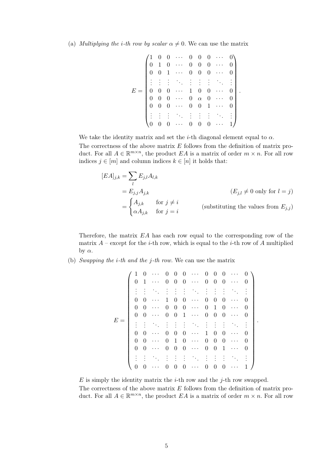(a) Multiplying the i-th row by scalar  $\alpha \neq 0$ . We can use the matrix

$$
E = \begin{pmatrix} 1 & 0 & 0 & \cdots & 0 & 0 & 0 & \cdots & 0 \\ 0 & 1 & 0 & \cdots & 0 & 0 & 0 & \cdots & 0 \\ 0 & 0 & 1 & \cdots & 0 & 0 & 0 & \cdots & 0 \\ \vdots & \vdots & \vdots & \ddots & \vdots & \vdots & \vdots & \ddots & \vdots \\ 0 & 0 & 0 & \cdots & 1 & 0 & 0 & \cdots & 0 \\ 0 & 0 & 0 & \cdots & 0 & \alpha & 0 & \cdots & 0 \\ 0 & 0 & 0 & \cdots & 0 & 0 & 1 & \cdots & 0 \\ \vdots & \vdots & \vdots & \ddots & \vdots & \vdots & \vdots & \ddots & \vdots \\ 0 & 0 & 0 & \cdots & 0 & 0 & 0 & \cdots & 1 \end{pmatrix}.
$$

We take the identity matrix and set the *i*-th diagonal element equal to  $\alpha$ .

The correctness of the above matrix  $E$  follows from the definition of matrix product. For all  $A \in \mathbb{R}^{m \times n}$ , the product EA is a matrix of order  $m \times n$ . For all row indices  $j \in [m]$  and column indices  $k \in [n]$  it holds that:

$$
[EA]_{j,k} = \sum_{l} E_{j,l} A_{l,k}
$$
  
=  $E_{j,j} A_{j,k}$   $(E_{j,l} \neq 0 \text{ only for } l = j)$   
= 
$$
\begin{cases} A_{j,k} & \text{for } j \neq i \\ \alpha A_{j,k} & \text{for } j = i \end{cases}
$$
 (substituting the values from  $E_{j,j}$ )

Therefore, the matrix EA has each row equal to the corresponding row of the matrix  $A$  – except for the *i*-th row, which is equal to the *i*-th row of A multiplied by  $\alpha$ .

(b) Swapping the i-th and the j-th row. We can use the matrix

$$
E = \left(\begin{array}{cccccccccc} 1 & 0 & \cdots & 0 & 0 & 0 & \cdots & 0 & 0 & 0 & \cdots & 0 \\ 0 & 1 & \cdots & 0 & 0 & 0 & \cdots & 0 & 0 & 0 & \cdots & 0 \\ \vdots & \vdots & \ddots & \vdots & \vdots & \vdots & \ddots & \vdots & \vdots & \vdots & \ddots & \vdots \\ 0 & 0 & \cdots & 1 & 0 & 0 & \cdots & 0 & 0 & 0 & \cdots & 0 \\ 0 & 0 & \cdots & 0 & 0 & 0 & \cdots & 0 & 1 & 0 & \cdots & 0 \\ \vdots & \vdots & \ddots & \vdots & \vdots & \vdots & \ddots & \vdots & \vdots & \vdots & \ddots & \vdots \\ 0 & 0 & \cdots & 0 & 0 & 0 & \cdots & 1 & 0 & 0 & \cdots & 0 \\ 0 & 0 & \cdots & 0 & 1 & 0 & \cdots & 0 & 0 & 0 & \cdots & 0 \\ \vdots & \vdots & \ddots & \vdots & \vdots & \vdots & \ddots & \vdots & \vdots & \vdots & \ddots & \vdots \\ 0 & 0 & \cdots & 0 & 0 & 0 & \cdots & 0 & 0 & 1 & \cdots & 0 \\ \end{array}\right)
$$

.

 $E$  is simply the identity matrix the *i*-th row and the *j*-th row swapped.

The correctness of the above matrix  $E$  follows from the definition of matrix product. For all  $A \in \mathbb{R}^{m \times n}$ , the product EA is a matrix of order  $m \times n$ . For all row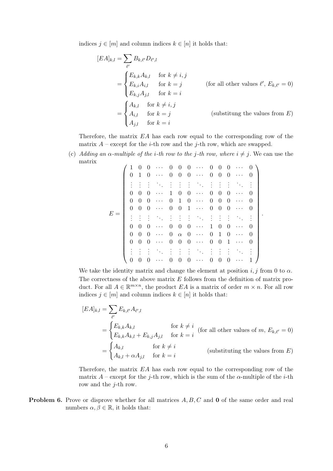indices  $j \in [m]$  and column indices  $k \in [n]$  it holds that:

$$
[EA]_{k,l} = \sum_{\ell'} B_{k,\ell'} D_{\ell',l}
$$
  
\n
$$
= \begin{cases} E_{k,k} A_{k,l} & \text{for } k \neq i, j \\ E_{k,i} A_{i,l} & \text{for } k = j \\ E_{k,j} A_{j,l} & \text{for } k = i \end{cases}
$$
 (for all other values  $\ell', E_{k,\ell'} = 0$ )  
\n
$$
= \begin{cases} A_{k,l} & \text{for } k \neq i, j \\ A_{i,l} & \text{for } k = j \\ A_{j,l} & \text{for } k = i \end{cases}
$$
 (substitung the values from E)

Therefore, the matrix  $EA$  has each row equal to the corresponding row of the matrix  $A$  – except for the *i*-th row and the *j*-th row, which are swapped.

(c) Adding an  $\alpha$ -multiple of the *i*-th row to the *j*-th row, where  $i \neq j$ . We can use the matrix

|       |  | 1              | $\theta$       | $\theta$       | $\cdots$                                  | 0        | $\theta$       | $\theta$       | $\ldots$                                  | 0              | 0              | $\theta$       |                                         | 0        |  |
|-------|--|----------------|----------------|----------------|-------------------------------------------|----------|----------------|----------------|-------------------------------------------|----------------|----------------|----------------|-----------------------------------------|----------|--|
| $E =$ |  | $\theta$       | -1             | $\overline{0}$ | $\sim$ $\sim$ $\sim$                      | $\theta$ | $\overline{0}$ |                | $0 \cdots$                                | $\overline{0}$ | $\overline{0}$ | $\overline{0}$ | $\ldots$                                | $\theta$ |  |
|       |  |                |                |                | $\ddot{\phantom{0}}$ .                    |          | $\ddot{\cdot}$ | $\cdot$        | ÷.                                        | $\ddot{\cdot}$ | $\cdot$ :      |                |                                         |          |  |
|       |  | $\theta$       | $\theta$       | $\theta$       | $\cdots$                                  | 1        | $\theta$       | $\theta$       | $\cdots$                                  | $\theta$       | 0              | $\theta$       | $\cdots$                                | $\theta$ |  |
|       |  | $\Omega$       | $\theta$       | $\theta$       | $\cdots$                                  | $\theta$ | $\mathbf{1}$   |                | $0 \cdots$                                | $\overline{0}$ | $\theta$       | $\theta$       | $\cdots$                                | $\theta$ |  |
|       |  | $\overline{0}$ | $\overline{0}$ | $\overline{0}$ | $\ldots$                                  | $\theta$ | $\overline{0}$ |                | $1 \cdots$                                | $\overline{0}$ | $\overline{0}$ | $\overline{0}$ | $\cdots$                                | $\theta$ |  |
|       |  |                |                | $\bullet$      | $\mathcal{O}_{\mathcal{A},\mathcal{C}}$   |          | ŧ.             | $\frac{1}{2}$  | $\mathcal{F}_{\mathcal{F}_{\mathcal{A}}}$ | $\vdots$       | $\cdot$        |                | $\mathcal{O}_{\mathcal{A}_\mathcal{A}}$ |          |  |
|       |  | 0              | 0              | $\Omega$       | $\cdots$                                  | 0        | $\theta$       | 0              | $\cdots$                                  | 1              | 0              | 0              | $\cdots$                                | 0        |  |
|       |  | $\Omega$       | $\theta$       | $\theta$       | $\ddots$                                  | $\theta$ | $\alpha$       |                | $0 \cdots$                                | $\theta$       | 1              | $\theta$       | $\cdots$                                | $\theta$ |  |
|       |  | $\theta$       | $\theta$       | $\theta$       | $\rightarrow$ $\rightarrow$ $\rightarrow$ | $\theta$ | $\overline{0}$ | $\overline{0}$ | $\sim$ $\sim$ $\sim$ $\sim$               | $\theta$       | $\theta$       | 1              | $\cdots$                                | $\theta$ |  |
|       |  |                |                |                |                                           |          |                | $\ddot{\cdot}$ | ŽΥ.                                       |                |                |                |                                         |          |  |
|       |  | $\theta$       | $\cup$         | $\theta$       | $\ddots$                                  | $\theta$ | $\theta$       | 0              | $\sim$ $\sim$ $\sim$                      | $\overline{0}$ | $\theta$       | $\theta$       | .                                       |          |  |

We take the identity matrix and change the element at position  $i, j$  from 0 to  $\alpha$ . The correctness of the above matrix  $E$  follows from the definition of matrix product. For all  $A \in \mathbb{R}^{m \times n}$ , the product EA is a matrix of order  $m \times n$ . For all row indices  $j \in [m]$  and column indices  $k \in [n]$  it holds that:

$$
[EA]_{k,l} = \sum_{\ell'} E_{k,\ell'} A_{\ell',l}
$$
  
\n
$$
= \begin{cases} E_{k,k} A_{k,l} & \text{for } k \neq i \\ E_{k,k} A_{k,l} + E_{k,j} A_{j,l} & \text{for } k = i \end{cases}
$$
 (for all other values of m,  $E_{k,\ell'} = 0$ )  
\n
$$
= \begin{cases} A_{k,l} & \text{for } k \neq i \\ A_{k,l} + \alpha A_{j,l} & \text{for } k = i \end{cases}
$$
 (substituting the values from E)

Therefore, the matrix EA has each row equal to the corresponding row of the matrix  $A$  – except for the j-th row, which is the sum of the  $\alpha$ -multiple of the *i*-th row and the  $j$ -th row.

**Problem 6.** Prove or disprove whether for all matrices  $A, B, C$  and **0** of the same order and real numbers  $\alpha, \beta \in \mathbb{R}$ , it holds that: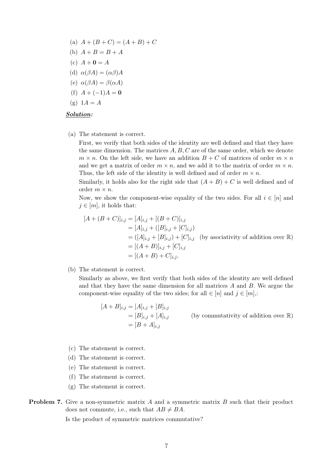(a) 
$$
A + (B + C) = (A + B) + C
$$
  
\n(b)  $A + B = B + A$   
\n(c)  $A + \mathbf{0} = A$   
\n(d)  $\alpha(\beta A) = (\alpha \beta)A$   
\n(e)  $\alpha(\beta A) = \beta(\alpha A)$   
\n(f)  $A + (-1)A = \mathbf{0}$   
\n(g)  $1A = A$ 

#### Solution:

(a) The statement is correct.

First, we verify that both sides of the identity are well defined and that they have the same dimension. The matrices  $A, B, C$  are of the same order, which we denote  $m \times n$ . On the left side, we have an addition  $B + C$  of matrices of order  $m \times n$ and we get a matrix of order  $m \times n$ , and we add it to the matrix of order  $m \times n$ . Thus, the left side of the identity is well defined and of order  $m \times n$ .

Similarly, it holds also for the right side that  $(A + B) + C$  is well defined and of order  $m \times n$ .

Now, we show the component-wise equality of the two sides. For all  $i \in [n]$  and  $j \in [m]$ , it holds that:

$$
[A + (B + C)]_{i,j} = [A]_{i,j} + [(B + C)]_{i,j}
$$
  
\n
$$
= [A]_{i,j} + ([B]_{i,j} + [C]_{i,j})
$$
  
\n
$$
= ([A]_{i,j} + [B]_{i,j}) + [C]_{i,j} \text{ (by associativity of addition over } \mathbb{R})
$$
  
\n
$$
= [(A + B)]_{i,j} + [C]_{i,j}
$$
  
\n
$$
= [(A + B) + C]_{i,j}.
$$

(b) The statement is correct.

Similarly as above, we first verify that both sides of the identity are well defined and that they have the same dimension for all matrices A and B. We argue the component-wise equality of the two sides; for all  $\in [n]$  and  $j \in [m]$ .

$$
[A + B]_{i,j} = [A]_{i,j} + [B]_{i,j}
$$
  
=  $[B]_{i,j} + [A]_{i,j}$  (by commutativity of addition over R)  
=  $[B + A]_{i,j}$ 

- (c) The statement is correct.
- (d) The statement is correct.
- (e) The statement is correct.
- (f) The statement is correct.
- (g) The statement is correct.
- **Problem 7.** Give a non-symmetric matrix A and a symmetric matrix B such that their product does not commute, i.e., such that  $AB \neq BA$ .

Is the product of symmetric matrices commutative?